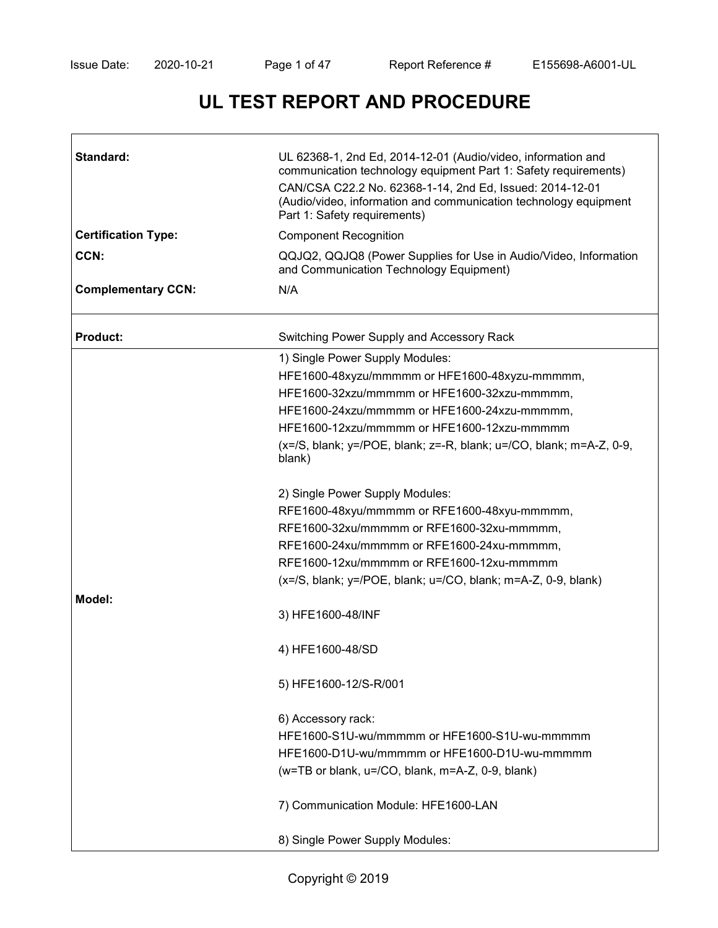# **UL TEST REPORT AND PROCEDURE**

| Standard:                  | UL 62368-1, 2nd Ed, 2014-12-01 (Audio/video, information and<br>communication technology equipment Part 1: Safety requirements)<br>CAN/CSA C22.2 No. 62368-1-14, 2nd Ed, Issued: 2014-12-01<br>(Audio/video, information and communication technology equipment<br>Part 1: Safety requirements) |  |  |  |
|----------------------------|-------------------------------------------------------------------------------------------------------------------------------------------------------------------------------------------------------------------------------------------------------------------------------------------------|--|--|--|
| <b>Certification Type:</b> | <b>Component Recognition</b>                                                                                                                                                                                                                                                                    |  |  |  |
| CCN:                       | QQJQ2, QQJQ8 (Power Supplies for Use in Audio/Video, Information<br>and Communication Technology Equipment)                                                                                                                                                                                     |  |  |  |
| <b>Complementary CCN:</b>  | N/A                                                                                                                                                                                                                                                                                             |  |  |  |
| <b>Product:</b>            | Switching Power Supply and Accessory Rack                                                                                                                                                                                                                                                       |  |  |  |
|                            | 1) Single Power Supply Modules:                                                                                                                                                                                                                                                                 |  |  |  |
|                            | HFE1600-48xyzu/mmmmm or HFE1600-48xyzu-mmmmm,                                                                                                                                                                                                                                                   |  |  |  |
|                            | HFE1600-32xzu/mmmmm or HFE1600-32xzu-mmmmm,                                                                                                                                                                                                                                                     |  |  |  |
|                            | HFE1600-24xzu/mmmmm or HFE1600-24xzu-mmmmm,                                                                                                                                                                                                                                                     |  |  |  |
|                            | HFE1600-12xzu/mmmmm or HFE1600-12xzu-mmmmm                                                                                                                                                                                                                                                      |  |  |  |
|                            | $(x=/S, blank; y=$ /POE, blank; $z=-R$ , blank; $u=$ /CO, blank; $m=A-Z$ , 0-9,<br>blank)                                                                                                                                                                                                       |  |  |  |
|                            | 2) Single Power Supply Modules:                                                                                                                                                                                                                                                                 |  |  |  |
|                            | RFE1600-48xyu/mmmmm or RFE1600-48xyu-mmmmm,                                                                                                                                                                                                                                                     |  |  |  |
|                            | RFE1600-32xu/mmmmm or RFE1600-32xu-mmmmm,                                                                                                                                                                                                                                                       |  |  |  |
|                            | RFE1600-24xu/mmmmm or RFE1600-24xu-mmmmm,                                                                                                                                                                                                                                                       |  |  |  |
|                            | RFE1600-12xu/mmmmm or RFE1600-12xu-mmmmm                                                                                                                                                                                                                                                        |  |  |  |
|                            | $(x=/S, blank; y=/POE, blank; u=/CO, blank; m=A-Z, 0-9, blank)$                                                                                                                                                                                                                                 |  |  |  |
| Model:                     |                                                                                                                                                                                                                                                                                                 |  |  |  |
|                            | 3) HFE1600-48/INF                                                                                                                                                                                                                                                                               |  |  |  |
|                            | 4) HFE1600-48/SD                                                                                                                                                                                                                                                                                |  |  |  |
|                            | 5) HFE1600-12/S-R/001                                                                                                                                                                                                                                                                           |  |  |  |
|                            | 6) Accessory rack:                                                                                                                                                                                                                                                                              |  |  |  |
|                            | HFE1600-S1U-wu/mmmmm or HFE1600-S1U-wu-mmmmm                                                                                                                                                                                                                                                    |  |  |  |
|                            | HFE1600-D1U-wu/mmmmm or HFE1600-D1U-wu-mmmmm                                                                                                                                                                                                                                                    |  |  |  |
|                            | (w=TB or blank, u=/CO, blank, m=A-Z, 0-9, blank)                                                                                                                                                                                                                                                |  |  |  |
|                            | 7) Communication Module: HFE1600-LAN                                                                                                                                                                                                                                                            |  |  |  |
|                            | 8) Single Power Supply Modules:                                                                                                                                                                                                                                                                 |  |  |  |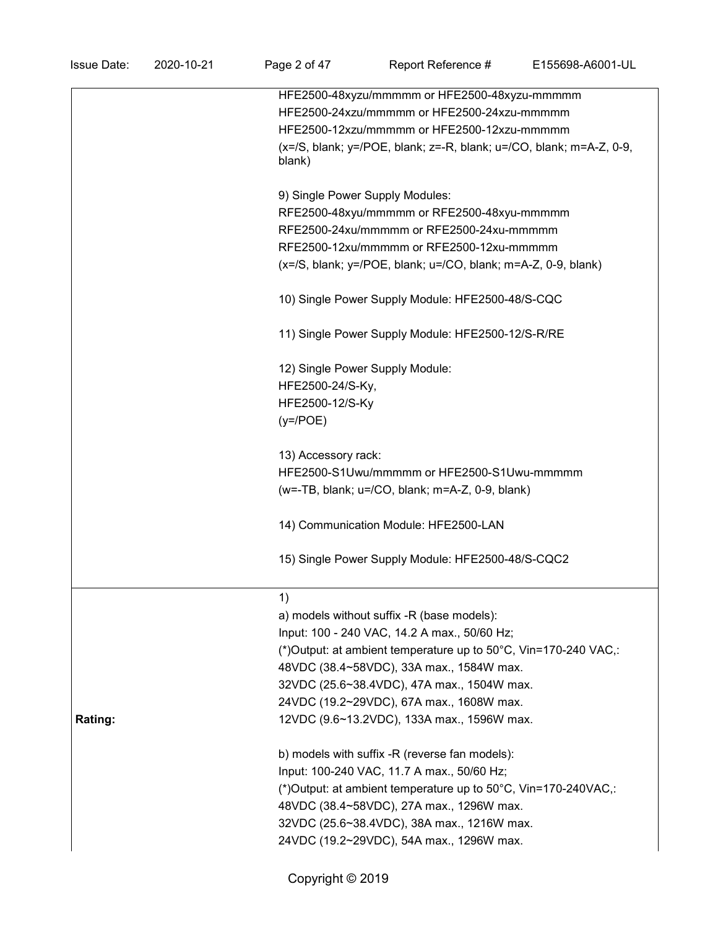| <b>Issue Date:</b> | 2020-10-21 | Page 2 of 47                                                    | Report Reference #                                                           | E155698-A6001-UL |  |  |  |
|--------------------|------------|-----------------------------------------------------------------|------------------------------------------------------------------------------|------------------|--|--|--|
|                    |            |                                                                 | HFE2500-48xyzu/mmmmm or HFE2500-48xyzu-mmmmm                                 |                  |  |  |  |
|                    |            |                                                                 | HFE2500-24xzu/mmmmm or HFE2500-24xzu-mmmmm                                   |                  |  |  |  |
|                    |            |                                                                 | HFE2500-12xzu/mmmmm or HFE2500-12xzu-mmmmm                                   |                  |  |  |  |
|                    |            | blank)                                                          | $(x=/S, blank; y=$ /POE, blank; $z=-R$ , blank; $u=$ /CO, blank; m=A-Z, 0-9, |                  |  |  |  |
|                    |            |                                                                 | 9) Single Power Supply Modules:                                              |                  |  |  |  |
|                    |            |                                                                 | RFE2500-48xyu/mmmmm or RFE2500-48xyu-mmmmm                                   |                  |  |  |  |
|                    |            |                                                                 | RFE2500-24xu/mmmmm or RFE2500-24xu-mmmmm                                     |                  |  |  |  |
|                    |            |                                                                 | RFE2500-12xu/mmmmm or RFE2500-12xu-mmmmm                                     |                  |  |  |  |
|                    |            | $(x=/S, blank; y=/POE, blank; u=/CO, blank; m=A-Z, 0-9, blank)$ |                                                                              |                  |  |  |  |
|                    |            |                                                                 | 10) Single Power Supply Module: HFE2500-48/S-CQC                             |                  |  |  |  |
|                    |            |                                                                 | 11) Single Power Supply Module: HFE2500-12/S-R/RE                            |                  |  |  |  |
|                    |            |                                                                 | 12) Single Power Supply Module:                                              |                  |  |  |  |
|                    |            | HFE2500-24/S-Ky,                                                |                                                                              |                  |  |  |  |
|                    |            | HFE2500-12/S-Ky                                                 |                                                                              |                  |  |  |  |
|                    |            | $(y=$ /POE)                                                     |                                                                              |                  |  |  |  |
|                    |            | 13) Accessory rack:                                             |                                                                              |                  |  |  |  |
|                    |            |                                                                 | HFE2500-S1Uwu/mmmmm or HFE2500-S1Uwu-mmmmm                                   |                  |  |  |  |
|                    |            |                                                                 | (w=-TB, blank; u=/CO, blank; m=A-Z, 0-9, blank)                              |                  |  |  |  |
|                    |            |                                                                 | 14) Communication Module: HFE2500-LAN                                        |                  |  |  |  |
|                    |            |                                                                 | 15) Single Power Supply Module: HFE2500-48/S-CQC2                            |                  |  |  |  |
|                    |            | 1)                                                              |                                                                              |                  |  |  |  |
|                    |            |                                                                 | a) models without suffix -R (base models):                                   |                  |  |  |  |
|                    |            |                                                                 | Input: 100 - 240 VAC, 14.2 A max., 50/60 Hz;                                 |                  |  |  |  |
|                    |            |                                                                 | (*) Output: at ambient temperature up to 50°C, Vin=170-240 VAC,:             |                  |  |  |  |
|                    |            |                                                                 | 48VDC (38.4~58VDC), 33A max., 1584W max.                                     |                  |  |  |  |
|                    |            |                                                                 | 32VDC (25.6~38.4VDC), 47A max., 1504W max.                                   |                  |  |  |  |
|                    |            |                                                                 | 24VDC (19.2~29VDC), 67A max., 1608W max.                                     |                  |  |  |  |
| Rating:            |            |                                                                 | 12VDC (9.6~13.2VDC), 133A max., 1596W max.                                   |                  |  |  |  |
|                    |            |                                                                 | b) models with suffix -R (reverse fan models):                               |                  |  |  |  |
|                    |            |                                                                 | Input: 100-240 VAC, 11.7 A max., 50/60 Hz;                                   |                  |  |  |  |

(\*)Output: at ambient temperature up to 50°C, Vin=170-240VAC,:

48VDC (38.4~58VDC), 27A max., 1296W max.

32VDC (25.6~38.4VDC), 38A max., 1216W max.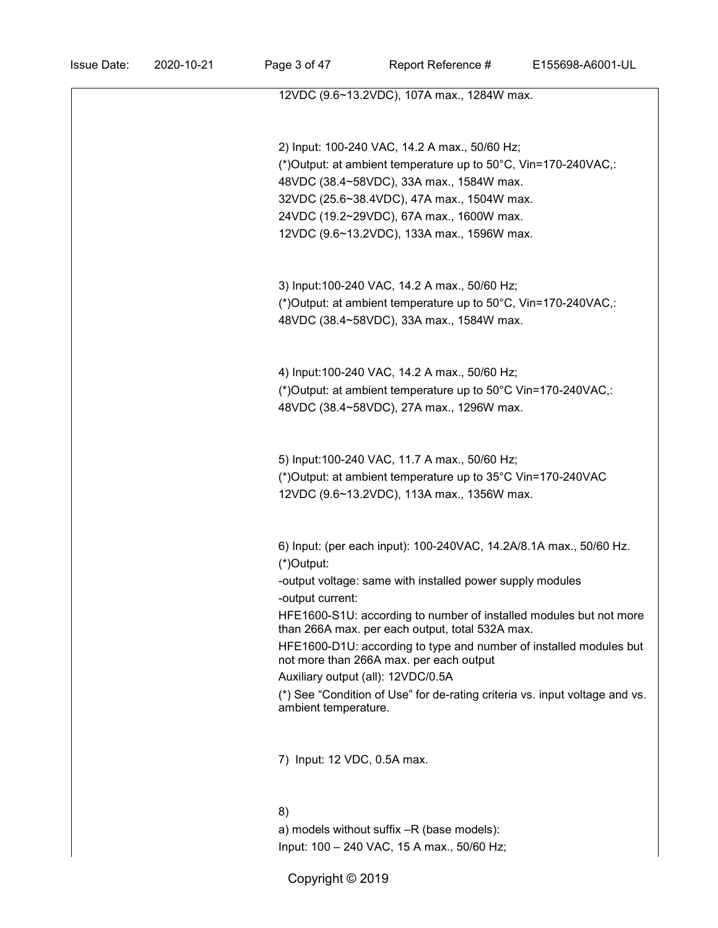| 12VDC (9.6~13.2VDC), 107A max., 1284W max.                                  |
|-----------------------------------------------------------------------------|
|                                                                             |
|                                                                             |
| 2) Input: 100-240 VAC, 14.2 A max., 50/60 Hz;                               |
| (*) Output: at ambient temperature up to 50°C, Vin=170-240VAC,:             |
| 48VDC (38.4~58VDC), 33A max., 1584W max.                                    |
| 32VDC (25.6~38.4VDC), 47A max., 1504W max.                                  |
| 24VDC (19.2~29VDC), 67A max., 1600W max.                                    |
| 12VDC (9.6~13.2VDC), 133A max., 1596W max.                                  |
|                                                                             |
|                                                                             |
| 3) Input:100-240 VAC, 14.2 A max., 50/60 Hz;                                |
| (*) Output: at ambient temperature up to 50°C, Vin=170-240VAC,:             |
| 48VDC (38.4~58VDC), 33A max., 1584W max.                                    |
|                                                                             |
|                                                                             |
| 4) Input:100-240 VAC, 14.2 A max., 50/60 Hz;                                |
| (*) Output: at ambient temperature up to 50°C Vin=170-240VAC,:              |
| 48VDC (38.4~58VDC), 27A max., 1296W max.                                    |
|                                                                             |
|                                                                             |
| 5) Input: 100-240 VAC, 11.7 A max., 50/60 Hz;                               |
| (*) Output: at ambient temperature up to 35°C Vin=170-240VAC                |
| 12VDC (9.6~13.2VDC), 113A max., 1356W max.                                  |
|                                                                             |
|                                                                             |
| 6) Input: (per each input): 100-240VAC, 14.2A/8.1A max., 50/60 Hz.          |
| (*)Output:                                                                  |
| -output voltage: same with installed power supply modules                   |
| -output current:                                                            |
| HFE1600-S1U: according to number of installed modules but not more          |
| than 266A max. per each output, total 532A max.                             |
| HFE1600-D1U: according to type and number of installed modules but          |
| not more than 266A max. per each output                                     |
| Auxiliary output (all): 12VDC/0.5A                                          |
| (*) See "Condition of Use" for de-rating criteria vs. input voltage and vs. |
| ambient temperature.                                                        |
|                                                                             |
|                                                                             |
| 7) Input: 12 VDC, 0.5A max.                                                 |
|                                                                             |
|                                                                             |
| 8)                                                                          |
| a) models without suffix -R (base models):                                  |
| Input: 100 - 240 VAC, 15 A max., 50/60 Hz;                                  |
| Copyright © 2019                                                            |
|                                                                             |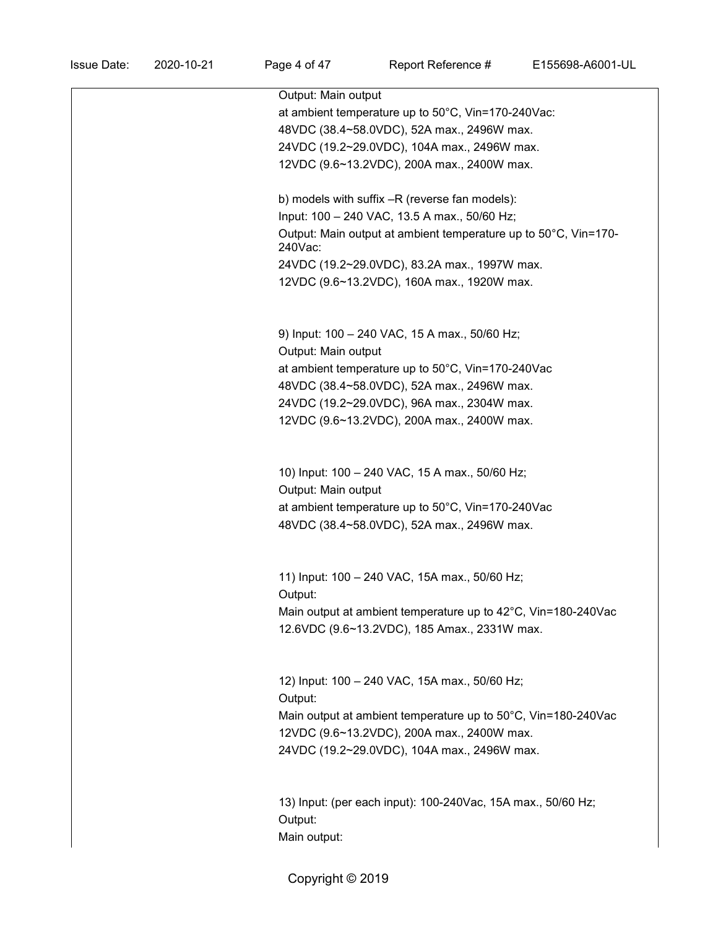| Output: Main output                                                        |
|----------------------------------------------------------------------------|
| at ambient temperature up to 50°C, Vin=170-240Vac:                         |
| 48VDC (38.4~58.0VDC), 52A max., 2496W max.                                 |
| 24VDC (19.2~29.0VDC), 104A max., 2496W max.                                |
| 12VDC (9.6~13.2VDC), 200A max., 2400W max.                                 |
|                                                                            |
| b) models with suffix -R (reverse fan models):                             |
| Input: 100 - 240 VAC, 13.5 A max., 50/60 Hz;                               |
| Output: Main output at ambient temperature up to 50°C, Vin=170-<br>240Vac: |
| 24VDC (19.2~29.0VDC), 83.2A max., 1997W max.                               |
| 12VDC (9.6~13.2VDC), 160A max., 1920W max.                                 |
|                                                                            |
| 9) Input: 100 - 240 VAC, 15 A max., 50/60 Hz;                              |
| Output: Main output                                                        |
| at ambient temperature up to 50°C, Vin=170-240Vac                          |
| 48VDC (38.4~58.0VDC), 52A max., 2496W max.                                 |
| 24VDC (19.2~29.0VDC), 96A max., 2304W max.                                 |
| 12VDC (9.6~13.2VDC), 200A max., 2400W max.                                 |
|                                                                            |
|                                                                            |
| 10) Input: 100 - 240 VAC, 15 A max., 50/60 Hz;                             |
| Output: Main output                                                        |
| at ambient temperature up to 50°C, Vin=170-240Vac                          |
| 48VDC (38.4~58.0VDC), 52A max., 2496W max.                                 |
|                                                                            |
| 11) Input: 100 - 240 VAC, 15A max., 50/60 Hz;                              |
| Output:                                                                    |
| Main output at ambient temperature up to 42°C, Vin=180-240Vac              |
| 12.6VDC (9.6~13.2VDC), 185 Amax., 2331W max.                               |
|                                                                            |
|                                                                            |
| 12) Input: 100 - 240 VAC, 15A max., 50/60 Hz;                              |
| Output:                                                                    |
| Main output at ambient temperature up to 50°C, Vin=180-240Vac              |
| 12VDC (9.6~13.2VDC), 200A max., 2400W max.                                 |
| 24VDC (19.2~29.0VDC), 104A max., 2496W max.                                |
|                                                                            |
| 13) Input: (per each input): 100-240Vac, 15A max., 50/60 Hz;               |
| Output:                                                                    |
| Main output:                                                               |
|                                                                            |

Copyright  $@$  2019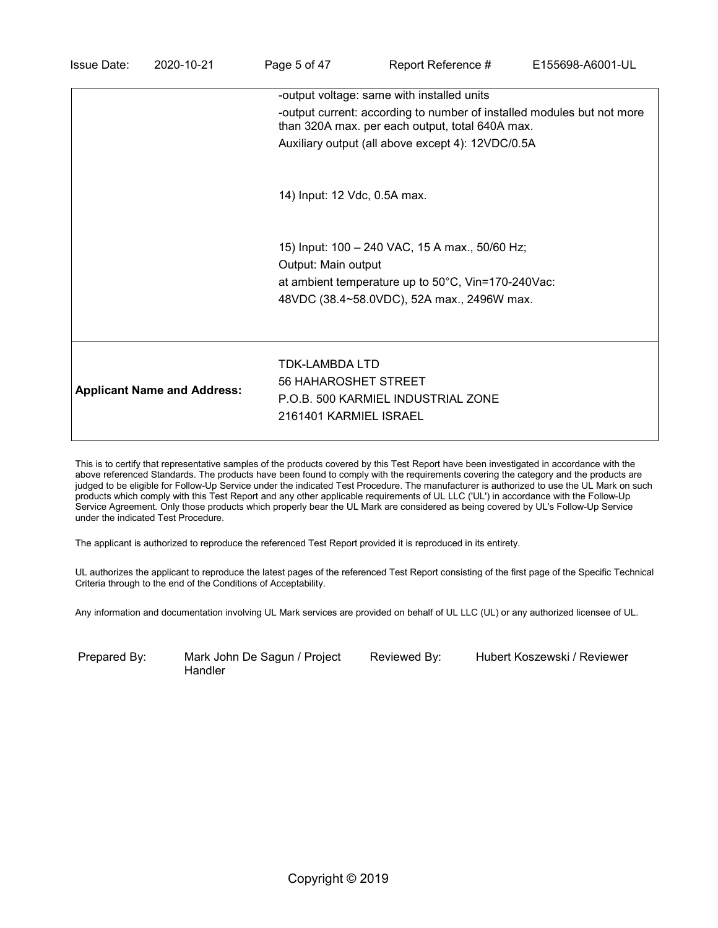| -output current: according to number of installed modules but not more<br>than 320A max. per each output, total 640A max.                    |  |
|----------------------------------------------------------------------------------------------------------------------------------------------|--|
|                                                                                                                                              |  |
| Auxiliary output (all above except 4): 12VDC/0.5A                                                                                            |  |
| 14) Input: 12 Vdc, 0.5A max.                                                                                                                 |  |
| 15) Input: 100 - 240 VAC, 15 A max., 50/60 Hz;<br>Output: Main output                                                                        |  |
| at ambient temperature up to $50^{\circ}$ C, Vin=170-240Vac:<br>48VDC (38.4~58.0VDC), 52A max., 2496W max.                                   |  |
|                                                                                                                                              |  |
| TDK-LAMBDA LTD<br>56 HAHAROSHET STREET<br><b>Applicant Name and Address:</b><br>P.O.B. 500 KARMIEL INDUSTRIAL ZONE<br>2161401 KARMIEL ISRAEL |  |

This is to certify that representative samples of the products covered by this Test Report have been investigated in accordance with the above referenced Standards. The products have been found to comply with the requirements covering the category and the products are judged to be eligible for Follow-Up Service under the indicated Test Procedure. The manufacturer is authorized to use the UL Mark on such products which comply with this Test Report and any other applicable requirements of UL LLC ('UL') in accordance with the Follow-Up Service Agreement. Only those products which properly bear the UL Mark are considered as being covered by UL's Follow-Up Service under the indicated Test Procedure.

The applicant is authorized to reproduce the referenced Test Report provided it is reproduced in its entirety.

UL authorizes the applicant to reproduce the latest pages of the referenced Test Report consisting of the first page of the Specific Technical Criteria through to the end of the Conditions of Acceptability.

Any information and documentation involving UL Mark services are provided on behalf of UL LLC (UL) or any authorized licensee of UL.

Prepared By: Mark John De Sagun / Project Handler

Reviewed By: Hubert Koszewski / Reviewer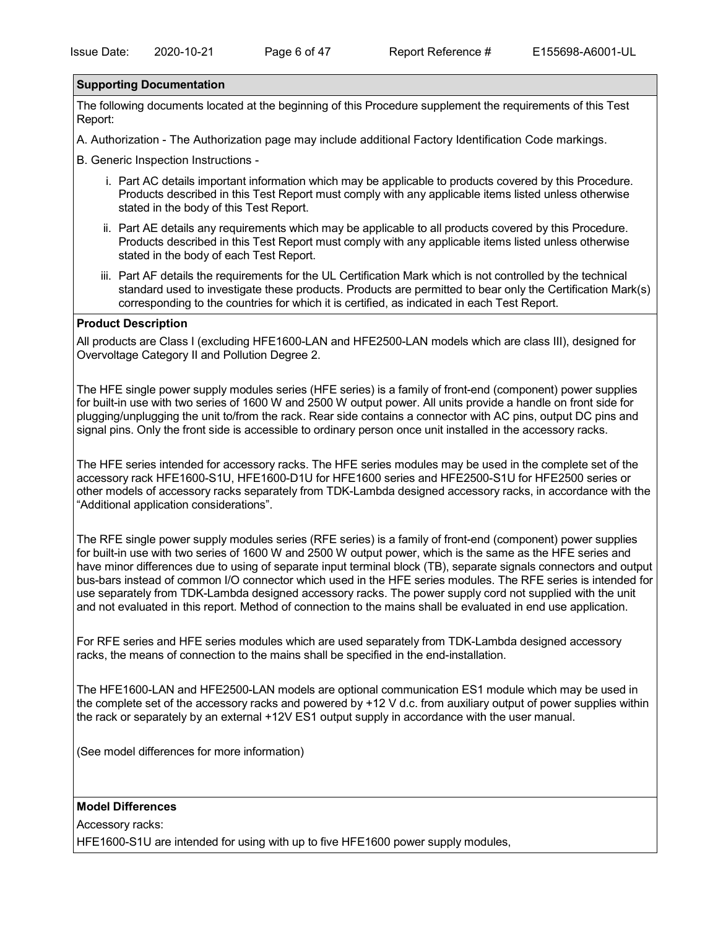### **Supporting Documentation**

The following documents located at the beginning of this Procedure supplement the requirements of this Test Report:

A. Authorization - The Authorization page may include additional Factory Identification Code markings.

B. Generic Inspection Instructions -

- i. Part AC details important information which may be applicable to products covered by this Procedure. Products described in this Test Report must comply with any applicable items listed unless otherwise stated in the body of this Test Report.
- ii. Part AE details any requirements which may be applicable to all products covered by this Procedure. Products described in this Test Report must comply with any applicable items listed unless otherwise stated in the body of each Test Report.
- iii. Part AF details the requirements for the UL Certification Mark which is not controlled by the technical standard used to investigate these products. Products are permitted to bear only the Certification Mark(s) corresponding to the countries for which it is certified, as indicated in each Test Report.

### **Product Description**

All products are Class I (excluding HFE1600-LAN and HFE2500-LAN models which are class III), designed for Overvoltage Category II and Pollution Degree 2.

The HFE single power supply modules series (HFE series) is a family of front-end (component) power supplies for built-in use with two series of 1600 W and 2500 W output power. All units provide a handle on front side for plugging/unplugging the unit to/from the rack. Rear side contains a connector with AC pins, output DC pins and signal pins. Only the front side is accessible to ordinary person once unit installed in the accessory racks.

The HFE series intended for accessory racks. The HFE series modules may be used in the complete set of the accessory rack HFE1600-S1U, HFE1600-D1U for HFE1600 series and HFE2500-S1U for HFE2500 series or other models of accessory racks separately from TDK-Lambda designed accessory racks, in accordance with the "Additional application considerations".

The RFE single power supply modules series (RFE series) is a family of front-end (component) power supplies for built-in use with two series of 1600 W and 2500 W output power, which is the same as the HFE series and have minor differences due to using of separate input terminal block (TB), separate signals connectors and output bus-bars instead of common I/O connector which used in the HFE series modules. The RFE series is intended for use separately from TDK-Lambda designed accessory racks. The power supply cord not supplied with the unit and not evaluated in this report. Method of connection to the mains shall be evaluated in end use application.

For RFE series and HFE series modules which are used separately from TDK-Lambda designed accessory racks, the means of connection to the mains shall be specified in the end-installation.

The HFE1600-LAN and HFE2500-LAN models are optional communication ES1 module which may be used in the complete set of the accessory racks and powered by +12 V d.c. from auxiliary output of power supplies within the rack or separately by an external +12V ES1 output supply in accordance with the user manual.

(See model differences for more information)

### **Model Differences**

Accessory racks:

HFE1600-S1U are intended for using with up to five HFE1600 power supply modules,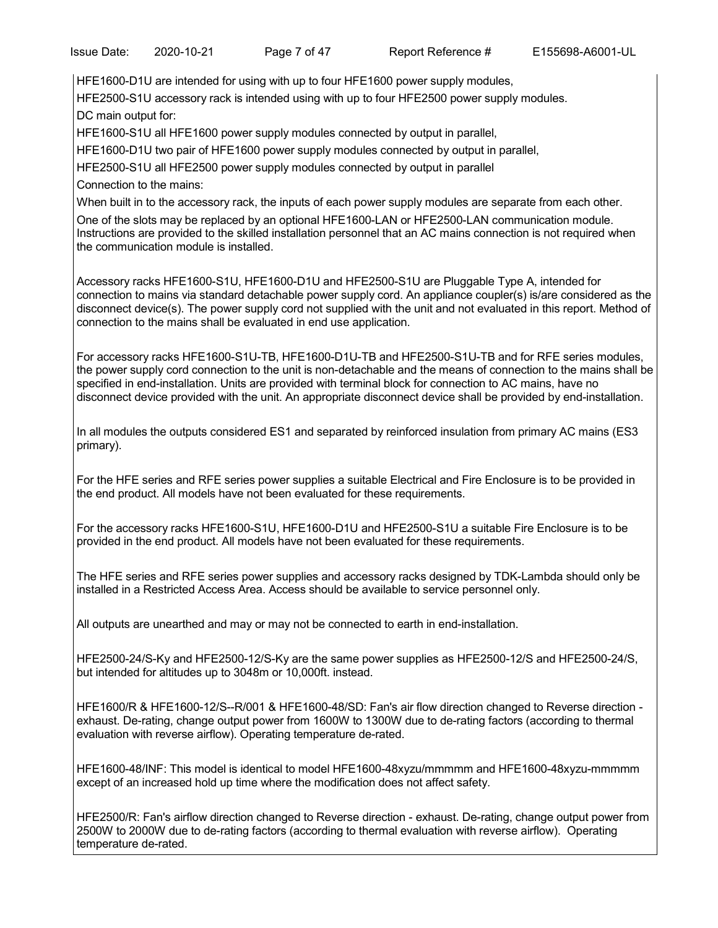HFE1600-D1U are intended for using with up to four HFE1600 power supply modules,

HFE2500-S1U accessory rack is intended using with up to four HFE2500 power supply modules. DC main output for:

HFE1600-S1U all HFE1600 power supply modules connected by output in parallel,

HFE1600-D1U two pair of HFE1600 power supply modules connected by output in parallel,

HFE2500-S1U all HFE2500 power supply modules connected by output in parallel

Connection to the mains:

When built in to the accessory rack, the inputs of each power supply modules are separate from each other.

One of the slots may be replaced by an optional HFE1600-LAN or HFE2500-LAN communication module. Instructions are provided to the skilled installation personnel that an AC mains connection is not required when the communication module is installed.

Accessory racks HFE1600-S1U, HFE1600-D1U and HFE2500-S1U are Pluggable Type A, intended for connection to mains via standard detachable power supply cord. An appliance coupler(s) is/are considered as the disconnect device(s). The power supply cord not supplied with the unit and not evaluated in this report. Method of connection to the mains shall be evaluated in end use application.

For accessory racks HFE1600-S1U-TB, HFE1600-D1U-TB and HFE2500-S1U-TB and for RFE series modules, the power supply cord connection to the unit is non-detachable and the means of connection to the mains shall be specified in end-installation. Units are provided with terminal block for connection to AC mains, have no disconnect device provided with the unit. An appropriate disconnect device shall be provided by end-installation.

In all modules the outputs considered ES1 and separated by reinforced insulation from primary AC mains (ES3 primary).

For the HFE series and RFE series power supplies a suitable Electrical and Fire Enclosure is to be provided in the end product. All models have not been evaluated for these requirements.

For the accessory racks HFE1600-S1U, HFE1600-D1U and HFE2500-S1U a suitable Fire Enclosure is to be provided in the end product. All models have not been evaluated for these requirements.

The HFE series and RFE series power supplies and accessory racks designed by TDK-Lambda should only be installed in a Restricted Access Area. Access should be available to service personnel only.

All outputs are unearthed and may or may not be connected to earth in end-installation.

HFE2500-24/S-Ky and HFE2500-12/S-Ky are the same power supplies as HFE2500-12/S and HFE2500-24/S, but intended for altitudes up to 3048m or 10,000ft. instead.

HFE1600/R & HFE1600-12/S--R/001 & HFE1600-48/SD: Fan's air flow direction changed to Reverse direction exhaust. De-rating, change output power from 1600W to 1300W due to de-rating factors (according to thermal evaluation with reverse airflow). Operating temperature de-rated.

HFE1600-48/INF: This model is identical to model HFE1600-48xyzu/mmmmm and HFE1600-48xyzu-mmmmm except of an increased hold up time where the modification does not affect safety.

HFE2500/R: Fan's airflow direction changed to Reverse direction - exhaust. De-rating, change output power from 2500W to 2000W due to de-rating factors (according to thermal evaluation with reverse airflow). Operating temperature de-rated.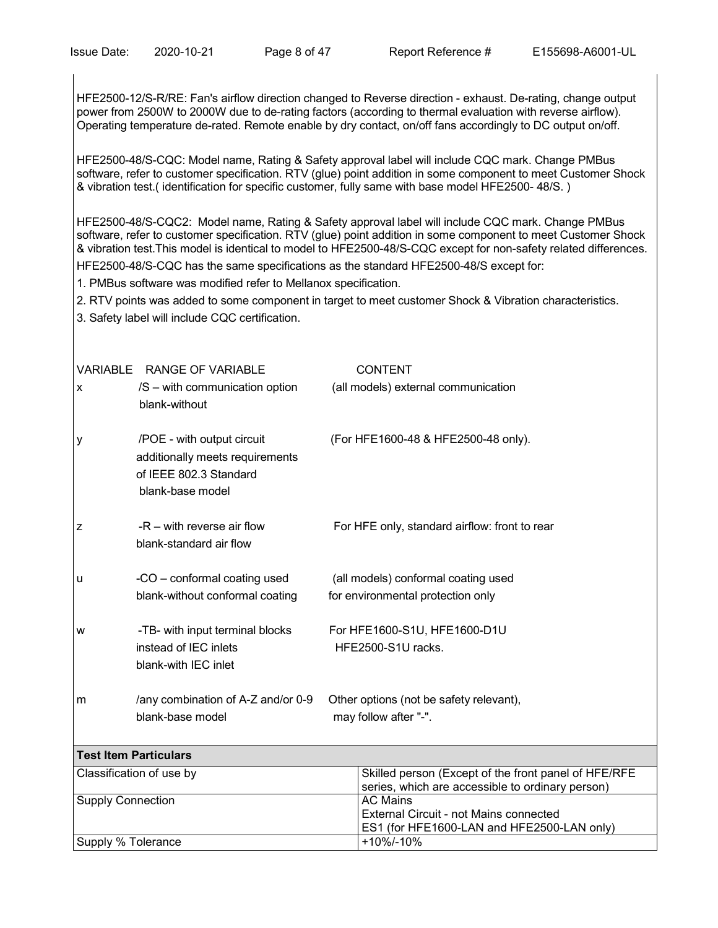HFE2500-12/S-R/RE: Fan's airflow direction changed to Reverse direction - exhaust. De-rating, change output power from 2500W to 2000W due to de-rating factors (according to thermal evaluation with reverse airflow). Operating temperature de-rated. Remote enable by dry contact, on/off fans accordingly to DC output on/off.

HFE2500-48/S-CQC: Model name, Rating & Safety approval label will include CQC mark. Change PMBus software, refer to customer specification. RTV (glue) point addition in some component to meet Customer Shock & vibration test.( identification for specific customer, fully same with base model HFE2500- 48/S. )

HFE2500-48/S-CQC2: Model name, Rating & Safety approval label will include CQC mark. Change PMBus software, refer to customer specification. RTV (glue) point addition in some component to meet Customer Shock & vibration test.This model is identical to model to HFE2500-48/S-CQC except for non-safety related differences. HFE2500-48/S-CQC has the same specifications as the standard HFE2500-48/S except for:

1. PMBus software was modified refer to Mellanox specification.

- 2. RTV points was added to some component in target to meet customer Shock & Vibration characteristics.
- 3. Safety label will include CQC certification.

| X | VARIABLE RANGE OF VARIABLE<br>/S – with communication option<br>blank-without                               | <b>CONTENT</b><br>(all models) external communication                                                    |  |
|---|-------------------------------------------------------------------------------------------------------------|----------------------------------------------------------------------------------------------------------|--|
| y | /POE - with output circuit<br>additionally meets requirements<br>of IEEE 802.3 Standard<br>blank-base model | (For HFE1600-48 & HFE2500-48 only).                                                                      |  |
| z | $-R -$ with reverse air flow<br>blank-standard air flow                                                     | For HFE only, standard airflow: front to rear                                                            |  |
| u | -CO - conformal coating used<br>blank-without conformal coating                                             | (all models) conformal coating used<br>for environmental protection only                                 |  |
| W | -TB- with input terminal blocks<br>instead of IEC inlets<br>blank-with IEC inlet                            | For HFE1600-S1U, HFE1600-D1U<br>HFE2500-S1U racks.                                                       |  |
| m | /any combination of A-Z and/or 0-9<br>blank-base model                                                      | Other options (not be safety relevant),<br>may follow after "-".                                         |  |
|   | <b>Test Item Particulars</b>                                                                                |                                                                                                          |  |
|   | Classification of use by                                                                                    | Skilled person (Except of the front panel of HFE/RFE<br>series, which are accessible to ordinary person) |  |
|   | <b>Supply Connection</b>                                                                                    | <b>AC Mains</b><br>External Circuit - not Mains connected<br>ES1 (for HFE1600-LAN and HFE2500-LAN only)  |  |
|   | Supply % Tolerance                                                                                          | +10%/-10%                                                                                                |  |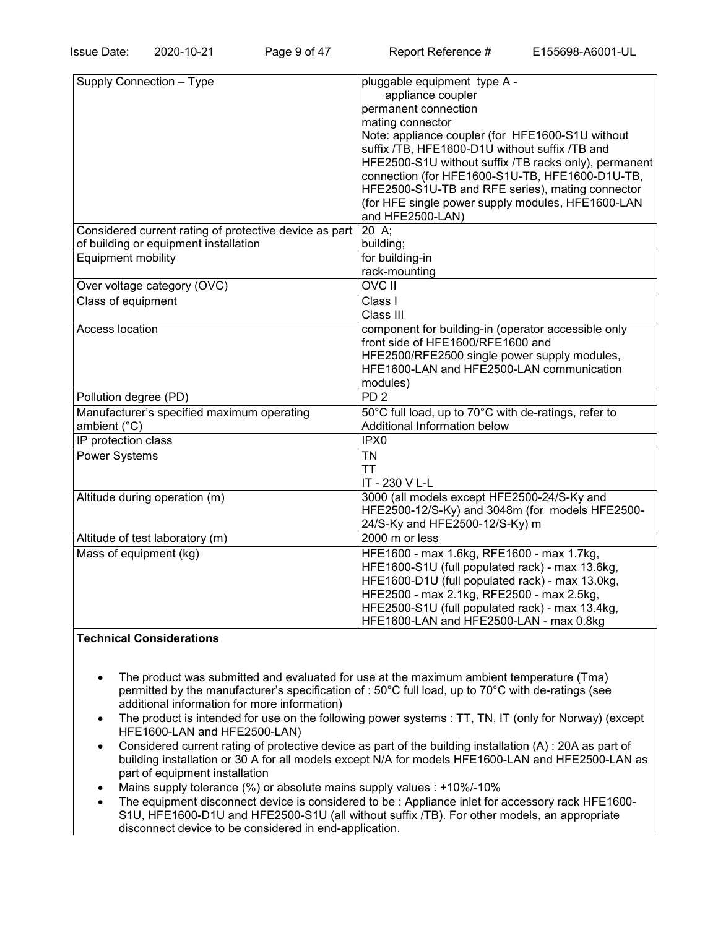| Supply Connection - Type                               | pluggable equipment type A -                          |
|--------------------------------------------------------|-------------------------------------------------------|
|                                                        | appliance coupler                                     |
|                                                        | permanent connection                                  |
|                                                        | mating connector                                      |
|                                                        | Note: appliance coupler (for HFE1600-S1U without      |
|                                                        | suffix /TB, HFE1600-D1U without suffix /TB and        |
|                                                        | HFE2500-S1U without suffix /TB racks only), permanent |
|                                                        | connection (for HFE1600-S1U-TB, HFE1600-D1U-TB,       |
|                                                        | HFE2500-S1U-TB and RFE series), mating connector      |
|                                                        | (for HFE single power supply modules, HFE1600-LAN     |
|                                                        | and HFE2500-LAN)                                      |
| Considered current rating of protective device as part | 20 A;                                                 |
| of building or equipment installation                  | building;                                             |
| Equipment mobility                                     | for building-in                                       |
|                                                        | rack-mounting                                         |
| Over voltage category (OVC)                            | <b>OVC II</b>                                         |
| Class of equipment                                     | Class I                                               |
|                                                        | Class III                                             |
| Access location                                        | component for building-in (operator accessible only   |
|                                                        | front side of HFE1600/RFE1600 and                     |
|                                                        | HFE2500/RFE2500 single power supply modules,          |
|                                                        | HFE1600-LAN and HFE2500-LAN communication             |
|                                                        | modules)                                              |
| Pollution degree (PD)                                  | PD <sub>2</sub>                                       |
| Manufacturer's specified maximum operating             | 50°C full load, up to 70°C with de-ratings, refer to  |
| ambient (°C)                                           | Additional Information below                          |
| IP protection class                                    | IPX <sub>0</sub>                                      |
| <b>Power Systems</b>                                   | <b>TN</b>                                             |
|                                                        | <b>TT</b>                                             |
|                                                        | IT - 230 V L-L                                        |
| Altitude during operation (m)                          | 3000 (all models except HFE2500-24/S-Ky and           |
|                                                        | HFE2500-12/S-Ky) and 3048m (for models HFE2500-       |
|                                                        | 24/S-Ky and HFE2500-12/S-Ky) m                        |
| Altitude of test laboratory (m)                        | 2000 m or less                                        |
| Mass of equipment (kg)                                 | HFE1600 - max 1.6kg, RFE1600 - max 1.7kg,             |
|                                                        | HFE1600-S1U (full populated rack) - max 13.6kg,       |
|                                                        | HFE1600-D1U (full populated rack) - max 13.0kg,       |
|                                                        | HFE2500 - max 2.1kg, RFE2500 - max 2.5kg,             |
|                                                        | HFE2500-S1U (full populated rack) - max 13.4kg,       |
|                                                        | HFE1600-LAN and HFE2500-LAN - max 0.8kg               |

# **Technical Considerations**

- The product was submitted and evaluated for use at the maximum ambient temperature (Tma) permitted by the manufacturer's specification of : 50°C full load, up to 70°C with de-ratings (see additional information for more information)
- The product is intended for use on the following power systems : TT, TN, IT (only for Norway) (except HFE1600-LAN and HFE2500-LAN)
- Considered current rating of protective device as part of the building installation (A) : 20A as part of building installation or 30 A for all models except N/A for models HFE1600-LAN and HFE2500-LAN as part of equipment installation
- Mains supply tolerance (%) or absolute mains supply values : +10%/-10%
- The equipment disconnect device is considered to be : Appliance inlet for accessory rack HFE1600- S1U, HFE1600-D1U and HFE2500-S1U (all without suffix /TB). For other models, an appropriate disconnect device to be considered in end-application.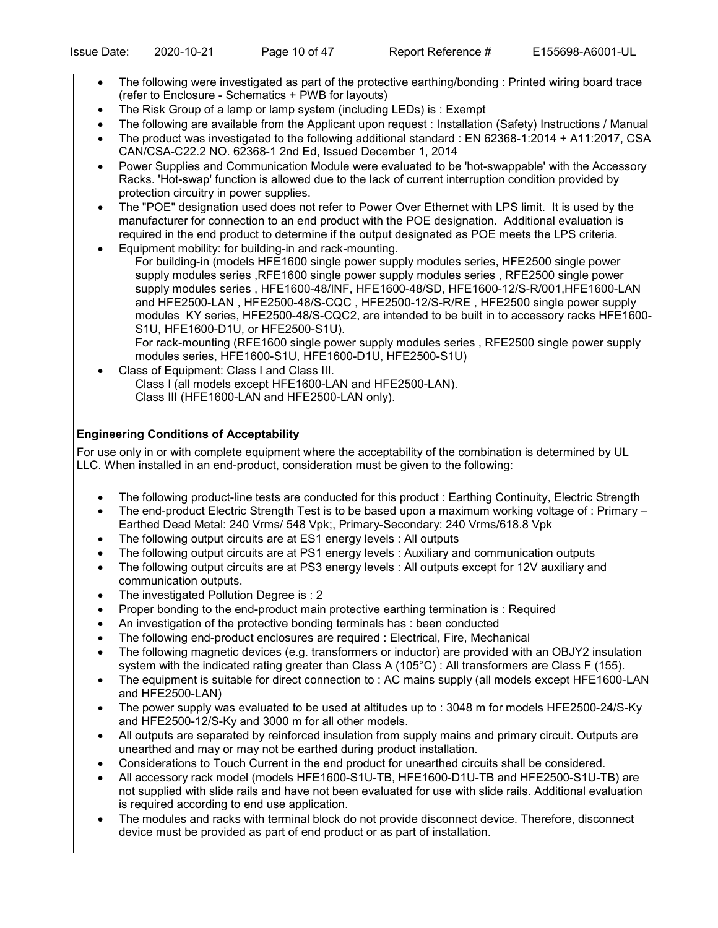- The following were investigated as part of the protective earthing/bonding : Printed wiring board trace (refer to Enclosure - Schematics + PWB for layouts)
- The Risk Group of a lamp or lamp system (including LEDs) is : Exempt
- The following are available from the Applicant upon request : Installation (Safety) Instructions / Manual
- The product was investigated to the following additional standard : EN 62368-1:2014 + A11:2017, CSA CAN/CSA-C22.2 NO. 62368-1 2nd Ed, Issued December 1, 2014
- Power Supplies and Communication Module were evaluated to be 'hot-swappable' with the Accessory Racks. 'Hot-swap' function is allowed due to the lack of current interruption condition provided by protection circuitry in power supplies.
- The "POE" designation used does not refer to Power Over Ethernet with LPS limit. It is used by the manufacturer for connection to an end product with the POE designation. Additional evaluation is required in the end product to determine if the output designated as POE meets the LPS criteria.
- Equipment mobility: for building-in and rack-mounting.

For building-in (models HFE1600 single power supply modules series, HFE2500 single power supply modules series ,RFE1600 single power supply modules series , RFE2500 single power supply modules series , HFE1600-48/INF, HFE1600-48/SD, HFE1600-12/S-R/001,HFE1600-LAN and HFE2500-LAN , HFE2500-48/S-CQC , HFE2500-12/S-R/RE , HFE2500 single power supply modules KY series, HFE2500-48/S-CQC2, are intended to be built in to accessory racks HFE1600- S1U, HFE1600-D1U, or HFE2500-S1U).

For rack-mounting (RFE1600 single power supply modules series , RFE2500 single power supply modules series, HFE1600-S1U, HFE1600-D1U, HFE2500-S1U)

• Class of Equipment: Class I and Class III. Class I (all models except HFE1600-LAN and HFE2500-LAN). Class III (HFE1600-LAN and HFE2500-LAN only).

# **Engineering Conditions of Acceptability**

For use only in or with complete equipment where the acceptability of the combination is determined by UL LLC. When installed in an end-product, consideration must be given to the following:

- The following product-line tests are conducted for this product : Earthing Continuity, Electric Strength
- The end-product Electric Strength Test is to be based upon a maximum working voltage of : Primary Earthed Dead Metal: 240 Vrms/ 548 Vpk;, Primary-Secondary: 240 Vrms/618.8 Vpk
- The following output circuits are at ES1 energy levels : All outputs
- The following output circuits are at PS1 energy levels : Auxiliary and communication outputs
- The following output circuits are at PS3 energy levels : All outputs except for 12V auxiliary and communication outputs.
- The investigated Pollution Degree is : 2
- Proper bonding to the end-product main protective earthing termination is : Required
- An investigation of the protective bonding terminals has : been conducted
- The following end-product enclosures are required : Electrical, Fire, Mechanical
- The following magnetic devices (e.g. transformers or inductor) are provided with an OBJY2 insulation system with the indicated rating greater than Class A (105°C) : All transformers are Class F (155).
- The equipment is suitable for direct connection to : AC mains supply (all models except HFE1600-LAN and HFE2500-LAN)
- The power supply was evaluated to be used at altitudes up to : 3048 m for models HFE2500-24/S-Ky and HFE2500-12/S-Ky and 3000 m for all other models.
- All outputs are separated by reinforced insulation from supply mains and primary circuit. Outputs are unearthed and may or may not be earthed during product installation.
- Considerations to Touch Current in the end product for unearthed circuits shall be considered.
- All accessory rack model (models HFE1600-S1U-TB, HFE1600-D1U-TB and HFE2500-S1U-TB) are not supplied with slide rails and have not been evaluated for use with slide rails. Additional evaluation is required according to end use application.
- The modules and racks with terminal block do not provide disconnect device. Therefore, disconnect device must be provided as part of end product or as part of installation.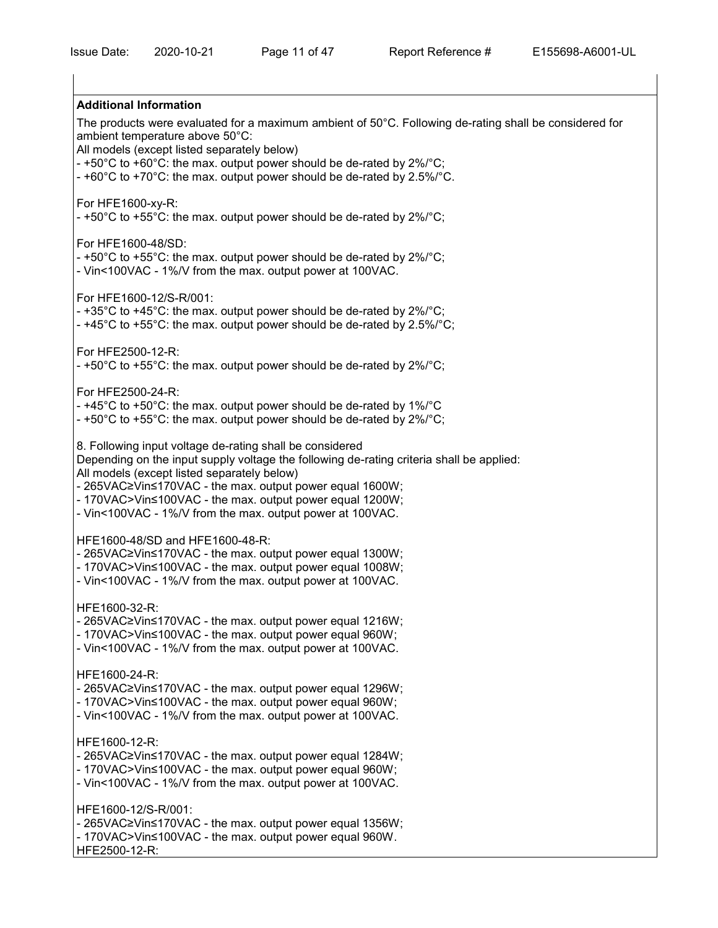# **Additional Information** The products were evaluated for a maximum ambient of 50°C. Following de-rating shall be considered for ambient temperature above 50°C: All models (except listed separately below)  $-$  +50°C to +60°C: the max. output power should be de-rated by 2%/°C; - +60°C to +70°C: the max. output power should be de-rated by 2.5%/°C. For HFE1600-xy-R:  $-$  +50°C to +55°C: the max. output power should be de-rated by 2%/°C; For HFE1600-48/SD:  $-$  +50°C to +55°C: the max. output power should be de-rated by 2%/°C; - Vin<100VAC - 1%/V from the max. output power at 100VAC. For HFE1600-12/S-R/001:  $-$  +35°C to +45°C: the max. output power should be de-rated by 2%/°C; - +45°C to +55°C: the max. output power should be de-rated by 2.5%/°C: For HFE2500-12-R:  $-$  +50°C to +55°C: the max. output power should be de-rated by 2%/°C; For HFE2500-24-R: - +45°C to +50°C: the max. output power should be de-rated by 1%/°C - +50°C to +55°C: the max. output power should be de-rated by 2%/°C; 8. Following input voltage de-rating shall be considered Depending on the input supply voltage the following de-rating criteria shall be applied: All models (except listed separately below) - 265VAC≥Vin≤170VAC - the max. output power equal 1600W; - 170VAC>Vin≤100VAC - the max. output power equal 1200W; - Vin<100VAC - 1%/V from the max. output power at 100VAC. HFE1600-48/SD and HFE1600-48-R: - 265VAC≥Vin≤170VAC - the max. output power equal 1300W; - 170VAC>Vin≤100VAC - the max. output power equal 1008W; - Vin<100VAC - 1%/V from the max. output power at 100VAC. HFE1600-32-R: - 265VAC≥Vin≤170VAC - the max. output power equal 1216W; - 170VAC>Vin≤100VAC - the max. output power equal 960W; - Vin<100VAC - 1%/V from the max. output power at 100VAC. HFE1600-24-R: - 265VAC≥Vin≤170VAC - the max. output power equal 1296W; - 170VAC>Vin≤100VAC - the max. output power equal 960W; - Vin<100VAC - 1%/V from the max. output power at 100VAC. HFE1600-12-R: - 265VAC≥Vin≤170VAC - the max. output power equal 1284W; - 170VAC>Vin≤100VAC - the max. output power equal 960W; - Vin<100VAC - 1%/V from the max. output power at 100VAC. HFE1600-12/S-R/001: - 265VAC≥Vin≤170VAC - the max. output power equal 1356W; - 170VAC>Vin≤100VAC - the max. output power equal 960W. HFE2500-12-R: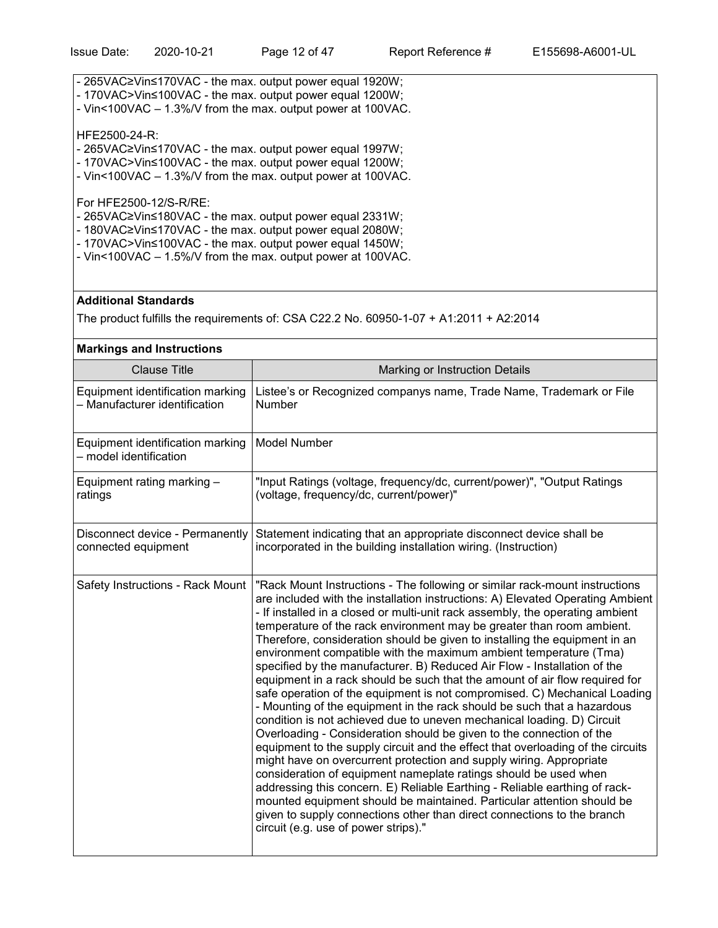- 265VAC≥Vin≤170VAC the max. output power equal 1920W;
- 170VAC>Vin≤100VAC the max. output power equal 1200W;
- Vin<100VAC 1.3%/V from the max. output power at 100VAC.

## HFE2500-24-R:

- 265VAC≥Vin≤170VAC the max. output power equal 1997W;
- 170VAC>Vin≤100VAC the max. output power equal 1200W;
- Vin<100VAC 1.3%/V from the max. output power at 100VAC.

For HFE2500-12/S-R/RE:

- 265VAC≥Vin≤180VAC the max. output power equal 2331W;
- 180VAC≥Vin≤170VAC the max. output power equal 2080W;
- 170VAC>Vin≤100VAC the max. output power equal 1450W;
- Vin<100VAC 1.5%/V from the max. output power at 100VAC.

# **Additional Standards**

The product fulfills the requirements of: CSA C22.2 No. 60950-1-07 + A1:2011 + A2:2014

| <b>Markings and Instructions</b>                                  |                                                                                                                                                                                                                                                                                                                                                                                                                                                                                                                                                                                                                                                                                                                                                                                                                                                                                                                                                                                                                                                                                                                                                                                                                                                                                                                                                                                                                                                          |  |  |
|-------------------------------------------------------------------|----------------------------------------------------------------------------------------------------------------------------------------------------------------------------------------------------------------------------------------------------------------------------------------------------------------------------------------------------------------------------------------------------------------------------------------------------------------------------------------------------------------------------------------------------------------------------------------------------------------------------------------------------------------------------------------------------------------------------------------------------------------------------------------------------------------------------------------------------------------------------------------------------------------------------------------------------------------------------------------------------------------------------------------------------------------------------------------------------------------------------------------------------------------------------------------------------------------------------------------------------------------------------------------------------------------------------------------------------------------------------------------------------------------------------------------------------------|--|--|
| <b>Clause Title</b>                                               | Marking or Instruction Details                                                                                                                                                                                                                                                                                                                                                                                                                                                                                                                                                                                                                                                                                                                                                                                                                                                                                                                                                                                                                                                                                                                                                                                                                                                                                                                                                                                                                           |  |  |
| Equipment identification marking<br>- Manufacturer identification | Listee's or Recognized companys name, Trade Name, Trademark or File<br>Number                                                                                                                                                                                                                                                                                                                                                                                                                                                                                                                                                                                                                                                                                                                                                                                                                                                                                                                                                                                                                                                                                                                                                                                                                                                                                                                                                                            |  |  |
| Equipment identification marking<br>- model identification        | <b>Model Number</b>                                                                                                                                                                                                                                                                                                                                                                                                                                                                                                                                                                                                                                                                                                                                                                                                                                                                                                                                                                                                                                                                                                                                                                                                                                                                                                                                                                                                                                      |  |  |
| Equipment rating marking -<br>ratings                             | "Input Ratings (voltage, frequency/dc, current/power)", "Output Ratings<br>(voltage, frequency/dc, current/power)"                                                                                                                                                                                                                                                                                                                                                                                                                                                                                                                                                                                                                                                                                                                                                                                                                                                                                                                                                                                                                                                                                                                                                                                                                                                                                                                                       |  |  |
| Disconnect device - Permanently<br>connected equipment            | Statement indicating that an appropriate disconnect device shall be<br>incorporated in the building installation wiring. (Instruction)                                                                                                                                                                                                                                                                                                                                                                                                                                                                                                                                                                                                                                                                                                                                                                                                                                                                                                                                                                                                                                                                                                                                                                                                                                                                                                                   |  |  |
| Safety Instructions - Rack Mount                                  | "Rack Mount Instructions - The following or similar rack-mount instructions<br>are included with the installation instructions: A) Elevated Operating Ambient<br>- If installed in a closed or multi-unit rack assembly, the operating ambient<br>temperature of the rack environment may be greater than room ambient.<br>Therefore, consideration should be given to installing the equipment in an<br>environment compatible with the maximum ambient temperature (Tma)<br>specified by the manufacturer. B) Reduced Air Flow - Installation of the<br>equipment in a rack should be such that the amount of air flow required for<br>safe operation of the equipment is not compromised. C) Mechanical Loading<br>- Mounting of the equipment in the rack should be such that a hazardous<br>condition is not achieved due to uneven mechanical loading. D) Circuit<br>Overloading - Consideration should be given to the connection of the<br>equipment to the supply circuit and the effect that overloading of the circuits<br>might have on overcurrent protection and supply wiring. Appropriate<br>consideration of equipment nameplate ratings should be used when<br>addressing this concern. E) Reliable Earthing - Reliable earthing of rack-<br>mounted equipment should be maintained. Particular attention should be<br>given to supply connections other than direct connections to the branch<br>circuit (e.g. use of power strips)." |  |  |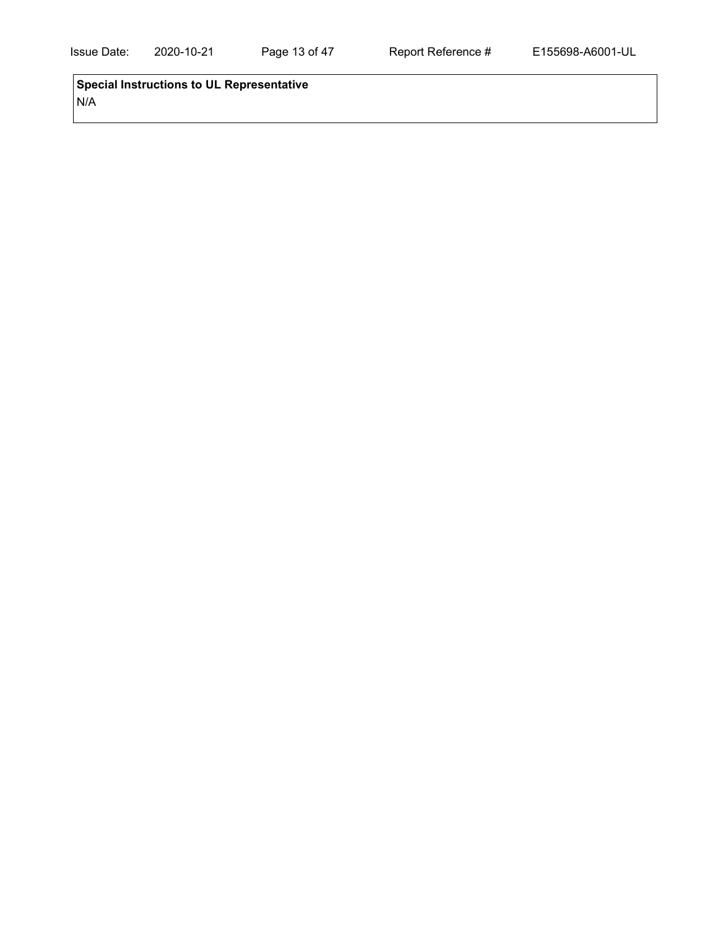**Special Instructions to UL Representative** N/A